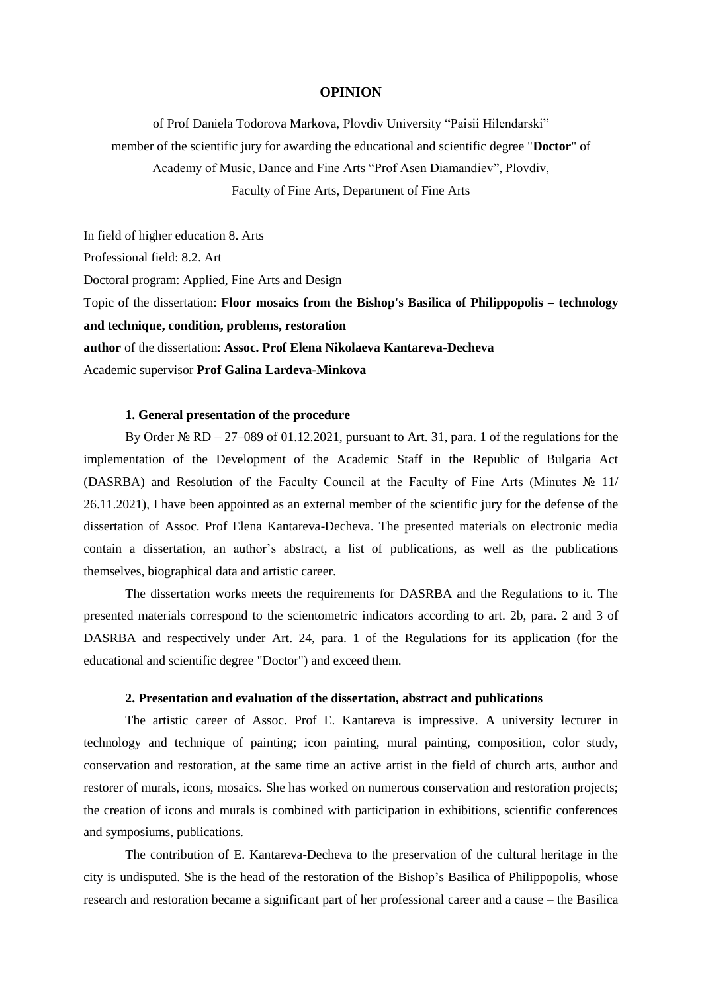#### **OPINION**

of Prof Daniela Todorova Markova, Plovdiv University "Paisii Hilendarski" member of the scientific jury for awarding the educational and scientific degree "**Doctor**" of Academy of Music, Dance and Fine Arts "Prof Asen Diamandiev", Plovdiv, Faculty of Fine Arts, Department of Fine Arts

In field of higher education 8. Arts Professional field: 8.2. Art Doctoral program: Applied, Fine Arts and Design Topic of the dissertation: **Floor mosaics from the Bishop's Basilica of Philippopolis – technology and technique, condition, problems, restoration author** of the dissertation: **Assoc. Prof Elena Nikolaeva Kantareva-Decheva** Academic supervisor **Prof Galina Lardeva-Minkova**

### **1. General presentation of the procedure**

By Order № RD – 27–089 of 01.12.2021, pursuant to Art. 31, para. 1 of the regulations for the implementation of the Development of the Academic Staff in the Republic of Bulgaria Act (DASRBA) and Resolution of the Faculty Council at the Faculty of Fine Arts (Minutes  $\mathcal{N}_2$  11/ 26.11.2021), I have been appointed as an external member of the scientific jury for the defense of the dissertation of Assoc. Prof Elena Kantareva-Decheva. The presented materials on electronic media contain a dissertation, an author's abstract, a list of publications, as well as the publications themselves, biographical data and artistic career.

The dissertation works meets the requirements for DASRBA and the Regulations to it. The presented materials correspond to the scientometric indicators according to art. 2b, para. 2 and 3 of DASRBA and respectively under Art. 24, para. 1 of the Regulations for its application (for the educational and scientific degree "Doctor") and exceed them.

### **2. Presentation and evaluation of the dissertation, abstract and publications**

The artistic career of Assoc. Prof E. Kantareva is impressive. A university lecturer in technology and technique of painting; icon painting, mural painting, composition, color study, conservation and restoration, at the same time an active artist in the field of church arts, author and restorer of murals, icons, mosaics. She has worked on numerous conservation and restoration projects; the creation of icons and murals is combined with participation in exhibitions, scientific conferences and symposiums, publications.

The contribution of E. Kantareva-Decheva to the preservation of the cultural heritage in the city is undisputed. She is the head of the restoration of the Bishop's Basilica of Philippopolis, whose research and restoration became a significant part of her professional career and a cause – the Basilica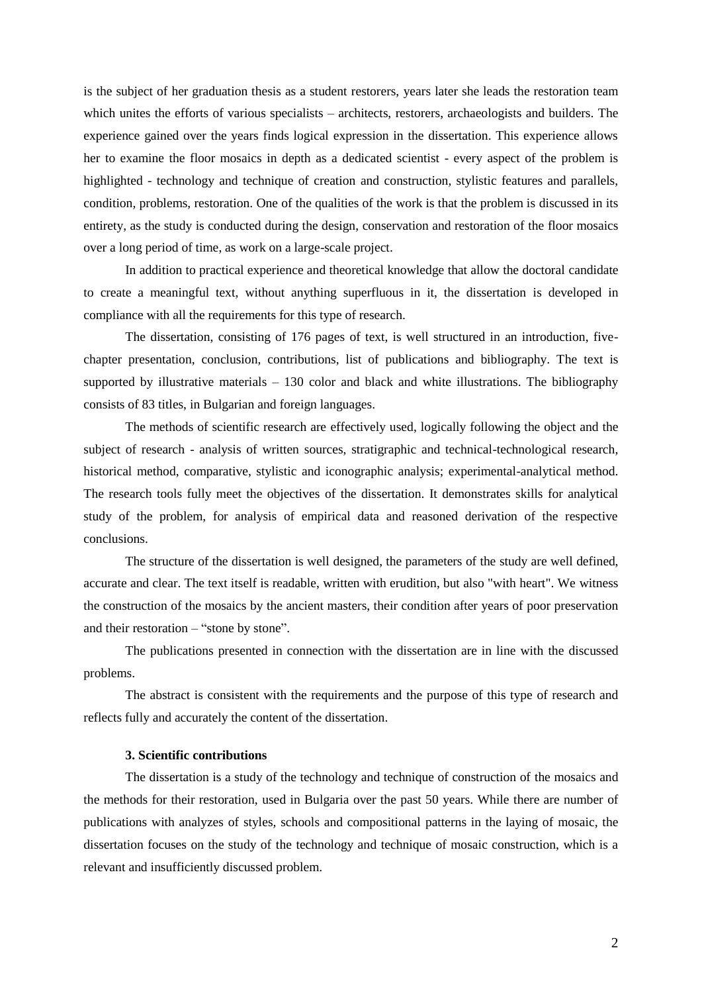is the subject of her graduation thesis as a student restorers, years later she leads the restoration team which unites the efforts of various specialists – architects, restorers, archaeologists and builders. The experience gained over the years finds logical expression in the dissertation. This experience allows her to examine the floor mosaics in depth as a dedicated scientist - every aspect of the problem is highlighted - technology and technique of creation and construction, stylistic features and parallels, condition, problems, restoration. One of the qualities of the work is that the problem is discussed in its entirety, as the study is conducted during the design, conservation and restoration of the floor mosaics over a long period of time, as work on a large-scale project.

In addition to practical experience and theoretical knowledge that allow the doctoral candidate to create a meaningful text, without anything superfluous in it, the dissertation is developed in compliance with all the requirements for this type of research.

The dissertation, consisting of 176 pages of text, is well structured in an introduction, fivechapter presentation, conclusion, contributions, list of publications and bibliography. The text is supported by illustrative materials – 130 color and black and white illustrations. The bibliography consists of 83 titles, in Bulgarian and foreign languages.

The methods of scientific research are effectively used, logically following the object and the subject of research - analysis of written sources, stratigraphic and technical-technological research, historical method, comparative, stylistic and iconographic analysis; experimental-analytical method. The research tools fully meet the objectives of the dissertation. It demonstrates skills for analytical study of the problem, for analysis of empirical data and reasoned derivation of the respective conclusions.

The structure of the dissertation is well designed, the parameters of the study are well defined, accurate and clear. The text itself is readable, written with erudition, but also "with heart". We witness the construction of the mosaics by the ancient masters, their condition after years of poor preservation and their restoration – "stone by stone".

The publications presented in connection with the dissertation are in line with the discussed problems.

The abstract is consistent with the requirements and the purpose of this type of research and reflects fully and accurately the content of the dissertation.

# **3. Scientific contributions**

The dissertation is a study of the technology and technique of construction of the mosaics and the methods for their restoration, used in Bulgaria over the past 50 years. While there are number of publications with analyzes of styles, schools and compositional patterns in the laying of mosaic, the dissertation focuses on the study of the technology and technique of mosaic construction, which is a relevant and insufficiently discussed problem.